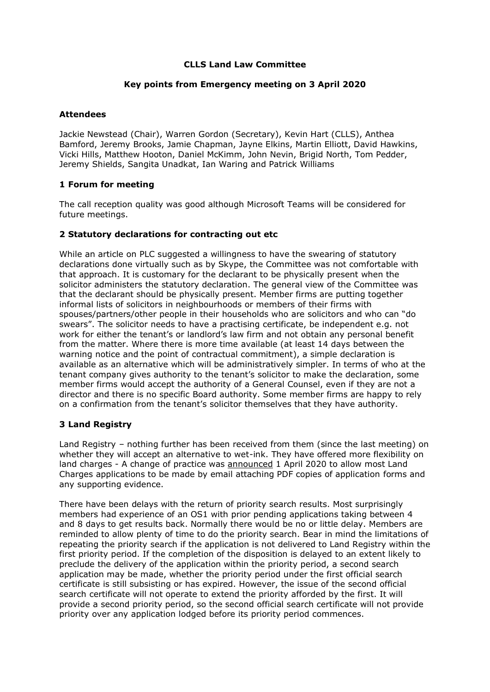## **CLLS Land Law Committee**

## **Key points from Emergency meeting on 3 April 2020**

## **Attendees**

Jackie Newstead (Chair), Warren Gordon (Secretary), Kevin Hart (CLLS), Anthea Bamford, Jeremy Brooks, Jamie Chapman, Jayne Elkins, Martin Elliott, David Hawkins, Vicki Hills, Matthew Hooton, Daniel McKimm, John Nevin, Brigid North, Tom Pedder, Jeremy Shields, Sangita Unadkat, Ian Waring and Patrick Williams

## **1 Forum for meeting**

The call reception quality was good although Microsoft Teams will be considered for future meetings.

## **2 Statutory declarations for contracting out etc**

While an article on PLC suggested a willingness to have the swearing of statutory declarations done virtually such as by Skype, the Committee was not comfortable with that approach. It is customary for the declarant to be physically present when the solicitor administers the statutory declaration. The general view of the Committee was that the declarant should be physically present. Member firms are putting together informal lists of solicitors in neighbourhoods or members of their firms with spouses/partners/other people in their households who are solicitors and who can "do swears". The solicitor needs to have a practising certificate, be independent e.g. not work for either the tenant's or landlord's law firm and not obtain any personal benefit from the matter. Where there is more time available (at least 14 days between the warning notice and the point of contractual commitment), a simple declaration is available as an alternative which will be administratively simpler. In terms of who at the tenant company gives authority to the tenant's solicitor to make the declaration, some member firms would accept the authority of a General Counsel, even if they are not a director and there is no specific Board authority. Some member firms are happy to rely on a confirmation from the tenant's solicitor themselves that they have authority.

# **3 Land Registry**

Land Registry – nothing further has been received from them (since the last meeting) on whether they will accept an alternative to wet-ink. They have offered more flexibility on land charges - A change of practice was [announced](https://www.gov.uk/government/news/coronavirus-covid-19-impact-on-our-services) 1 April 2020 to allow most Land Charges applications to be made by email attaching PDF copies of application forms and any supporting evidence.

There have been delays with the return of priority search results. Most surprisingly members had experience of an OS1 with prior pending applications taking between 4 and 8 days to get results back. Normally there would be no or little delay. Members are reminded to allow plenty of time to do the priority search. Bear in mind the limitations of repeating the priority search if the application is not delivered to Land Registry within the first priority period. If the completion of the disposition is delayed to an extent likely to preclude the delivery of the application within the priority period, a second search application may be made, whether the priority period under the first official search certificate is still subsisting or has expired. However, the issue of the second official search certificate will not operate to extend the priority afforded by the first. It will provide a second priority period, so the second official search certificate will not provide priority over any application lodged before its priority period commences.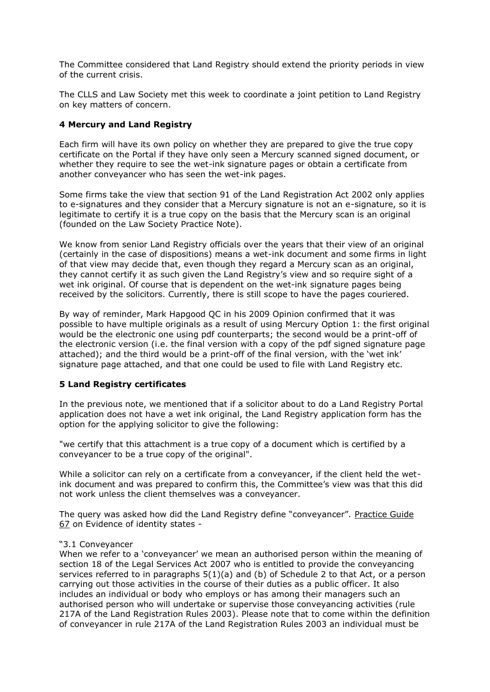The Committee considered that Land Registry should extend the priority periods in view of the current crisis.

The CLLS and Law Society met this week to coordinate a joint petition to Land Registry on key matters of concern.

## **4 Mercury and Land Registry**

Each firm will have its own policy on whether they are prepared to give the true copy certificate on the Portal if they have only seen a Mercury scanned signed document, or whether they require to see the wet-ink signature pages or obtain a certificate from another conveyancer who has seen the wet-ink pages.

Some firms take the view that section 91 of the Land Registration Act 2002 only applies to e-signatures and they consider that a Mercury signature is not an e-signature, so it is legitimate to certify it is a true copy on the basis that the Mercury scan is an original (founded on the Law Society Practice Note).

We know from senior Land Registry officials over the years that their view of an original (certainly in the case of dispositions) means a wet-ink document and some firms in light of that view may decide that, even though they regard a Mercury scan as an original, they cannot certify it as such given the Land Registry's view and so require sight of a wet ink original. Of course that is dependent on the wet-ink signature pages being received by the solicitors. Currently, there is still scope to have the pages couriered.

By way of reminder, Mark Hapgood QC in his 2009 Opinion confirmed that it was possible to have multiple originals as a result of using Mercury Option 1: the first original would be the electronic one using pdf counterparts; the second would be a print-off of the electronic version (i.e. the final version with a copy of the pdf signed signature page attached); and the third would be a print-off of the final version, with the 'wet ink' signature page attached, and that one could be used to file with Land Registry etc.

### **5 Land Registry certificates**

In the previous note, we mentioned that if a solicitor about to do a Land Registry Portal application does not have a wet ink original, the Land Registry application form has the option for the applying solicitor to give the following:

"we certify that this attachment is a true copy of a document which is certified by a conveyancer to be a true copy of the original".

While a solicitor can rely on a certificate from a conveyancer, if the client held the wetink document and was prepared to confirm this, the Committee's view was that this did not work unless the client themselves was a conveyancer.

The query was asked how did the Land Registry define "conveyancer". [Practice Guide](https://www.gov.uk/government/publications/evidence-of-identity-conveyancers/practice-guide-67-evidence-of-identity-conveyancers#definitions)  [67](https://www.gov.uk/government/publications/evidence-of-identity-conveyancers/practice-guide-67-evidence-of-identity-conveyancers#definitions) on Evidence of identity states -

### "3.1 Conveyancer

When we refer to a 'conveyancer' we mean an authorised person within the meaning of section 18 of the Legal Services Act 2007 who is entitled to provide the conveyancing services referred to in paragraphs  $5(1)(a)$  and (b) of Schedule 2 to that Act, or a person carrying out those activities in the course of their duties as a public officer. It also includes an individual or body who employs or has among their managers such an authorised person who will undertake or supervise those conveyancing activities (rule 217A of the Land Registration Rules 2003). Please note that to come within the definition of conveyancer in rule 217A of the Land Registration Rules 2003 an individual must be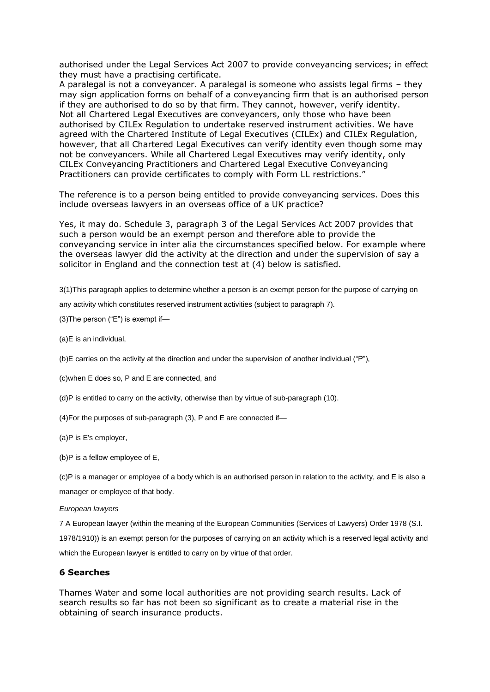authorised under the Legal Services Act 2007 to provide conveyancing services; in effect they must have a practising certificate.

A paralegal is not a conveyancer. A paralegal is someone who assists legal firms – they may sign application forms on behalf of a conveyancing firm that is an authorised person if they are authorised to do so by that firm. They cannot, however, verify identity. Not all Chartered Legal Executives are conveyancers, only those who have been authorised by CILEx Regulation to undertake reserved instrument activities. We have agreed with the Chartered Institute of Legal Executives (CILEx) and CILEx Regulation, however, that all Chartered Legal Executives can verify identity even though some may not be conveyancers. While all Chartered Legal Executives may verify identity, only CILEx Conveyancing Practitioners and Chartered Legal Executive Conveyancing Practitioners can provide certificates to comply with Form LL restrictions."

The reference is to a person being entitled to provide conveyancing services. Does this include overseas lawyers in an overseas office of a UK practice?

Yes, it may do. Schedule 3, paragraph 3 of the Legal Services Act 2007 provides that such a person would be an exempt person and therefore able to provide the conveyancing service in inter alia the circumstances specified below. For example where the overseas lawyer did the activity at the direction and under the supervision of say a solicitor in England and the connection test at (4) below is satisfied.

3(1)This paragraph applies to determine whether a person is an exempt person for the purpose of carrying on

any activity which constitutes reserved instrument activities (subject to paragraph 7).

(3)The person ("E") is exempt if—

(a)E is an individual,

(b)E carries on the activity at the direction and under the supervision of another individual ("P"),

(c)when E does so, P and E are connected, and

(d)P is entitled to carry on the activity, otherwise than by virtue of sub-paragraph (10).

(4)For the purposes of sub-paragraph (3), P and E are connected if—

(a)P is E's employer,

(b)P is a fellow employee of E,

(c)P is a manager or employee of a body which is an authorised person in relation to the activity, and E is also a manager or employee of that body.

#### *European lawyers*

7 A European lawyer (within the meaning of the European Communities (Services of Lawyers) Order 1978 (S.I. 1978/1910)) is an exempt person for the purposes of carrying on an activity which is a reserved legal activity and which the European lawyer is entitled to carry on by virtue of that order.

#### **6 Searches**

Thames Water and some local authorities are not providing search results. Lack of search results so far has not been so significant as to create a material rise in the obtaining of search insurance products.